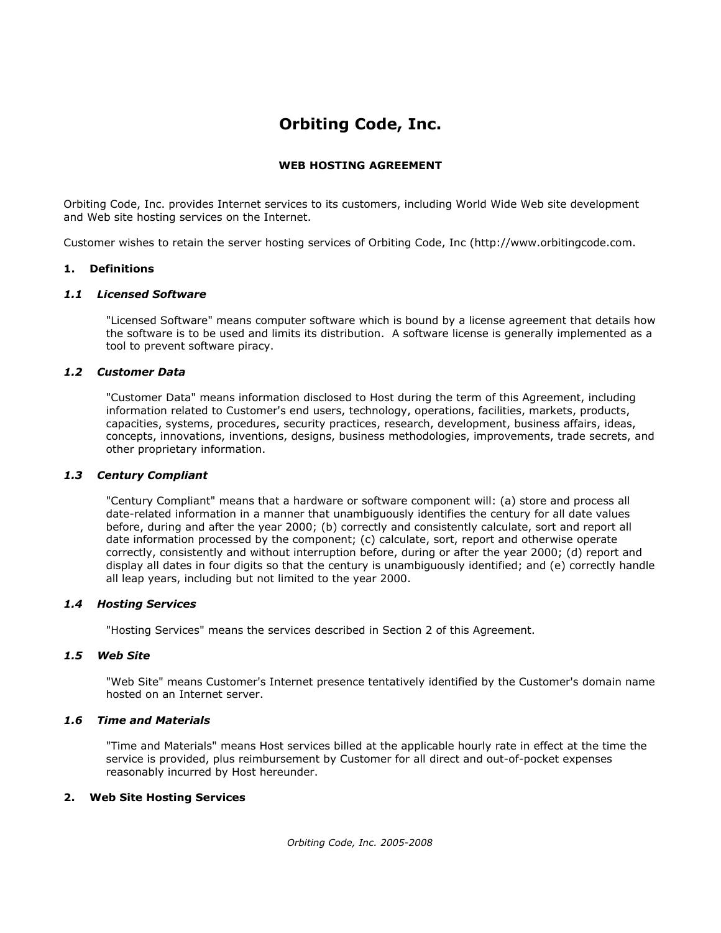# **Orbiting Code, Inc.**

# **WEB HOSTING AGREEMENT**

Orbiting Code, Inc. provides Internet services to its customers, including World Wide Web site development and Web site hosting services on the Internet.

Customer wishes to retain the server hosting services of Orbiting Code, Inc (http://www.orbitingcode.com.

#### **1. Definitions**

#### *1.1 Licensed Software*

"Licensed Software" means computer software which is bound by a license agreement that details how the software is to be used and limits its distribution. A software license is generally implemented as a tool to prevent software piracy.

#### *1.2 Customer Data*

"Customer Data" means information disclosed to Host during the term of this Agreement, including information related to Customer's end users, technology, operations, facilities, markets, products, capacities, systems, procedures, security practices, research, development, business affairs, ideas, concepts, innovations, inventions, designs, business methodologies, improvements, trade secrets, and other proprietary information.

#### *1.3 Century Compliant*

"Century Compliant" means that a hardware or software component will: (a) store and process all date-related information in a manner that unambiguously identifies the century for all date values before, during and after the year 2000; (b) correctly and consistently calculate, sort and report all date information processed by the component; (c) calculate, sort, report and otherwise operate correctly, consistently and without interruption before, during or after the year 2000; (d) report and display all dates in four digits so that the century is unambiguously identified; and (e) correctly handle all leap years, including but not limited to the year 2000.

#### *1.4 Hosting Services*

"Hosting Services" means the services described in Section 2 of this Agreement.

#### *1.5 Web Site*

"Web Site" means Customer's Internet presence tentatively identified by the Customer's domain name hosted on an Internet server.

# *1.6 Time and Materials*

"Time and Materials" means Host services billed at the applicable hourly rate in effect at the time the service is provided, plus reimbursement by Customer for all direct and out-of-pocket expenses reasonably incurred by Host hereunder.

# **2. Web Site Hosting Services**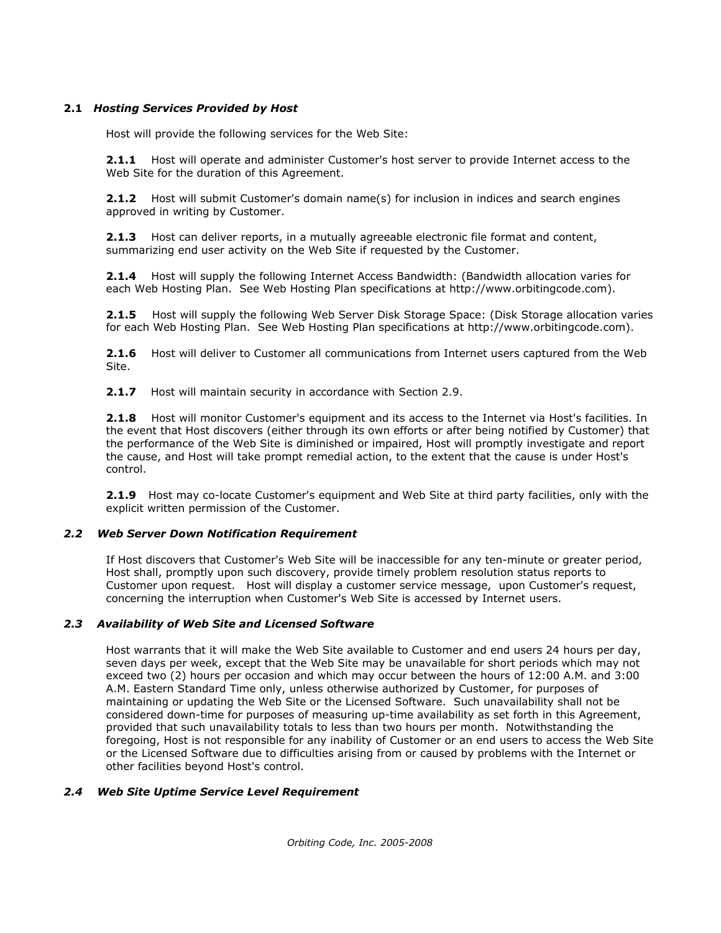## **2.1** *Hosting Services Provided by Host*

Host will provide the following services for the Web Site:

**2.1.1** Host will operate and administer Customer's host server to provide Internet access to the Web Site for the duration of this Agreement.

**2.1.2** Host will submit Customer's domain name(s) for inclusion in indices and search engines approved in writing by Customer.

**2.1.3** Host can deliver reports, in a mutually agreeable electronic file format and content, summarizing end user activity on the Web Site if requested by the Customer.

**2.1.4** Host will supply the following Internet Access Bandwidth: (Bandwidth allocation varies for each Web Hosting Plan. See Web Hosting Plan specifications at http://www.orbitingcode.com).

**2.1.5** Host will supply the following Web Server Disk Storage Space: (Disk Storage allocation varies for each Web Hosting Plan. See Web Hosting Plan specifications at http://www.orbitingcode.com).

**2.1.6** Host will deliver to Customer all communications from Internet users captured from the Web Site.

**2.1.7** Host will maintain security in accordance with Section 2.9.

**2.1.8** Host will monitor Customer's equipment and its access to the Internet via Host's facilities. In the event that Host discovers (either through its own efforts or after being notified by Customer) that the performance of the Web Site is diminished or impaired, Host will promptly investigate and report the cause, and Host will take prompt remedial action, to the extent that the cause is under Host's control.

**2.1.9** Host may co-locate Customer's equipment and Web Site at third party facilities, only with the explicit written permission of the Customer.

#### *2.2 Web Server Down Notification Requirement*

If Host discovers that Customer's Web Site will be inaccessible for any ten-minute or greater period, Host shall, promptly upon such discovery, provide timely problem resolution status reports to Customer upon request. Host will display a customer service message, upon Customer's request, concerning the interruption when Customer's Web Site is accessed by Internet users.

#### *2.3 Availability of Web Site and Licensed Software*

Host warrants that it will make the Web Site available to Customer and end users 24 hours per day, seven days per week, except that the Web Site may be unavailable for short periods which may not exceed two (2) hours per occasion and which may occur between the hours of 12:00 A.M. and 3:00 A.M. Eastern Standard Time only, unless otherwise authorized by Customer, for purposes of maintaining or updating the Web Site or the Licensed Software. Such unavailability shall not be considered down-time for purposes of measuring up-time availability as set forth in this Agreement, provided that such unavailability totals to less than two hours per month. Notwithstanding the foregoing, Host is not responsible for any inability of Customer or an end users to access the Web Site or the Licensed Software due to difficulties arising from or caused by problems with the Internet or other facilities beyond Host's control.

#### *2.4 Web Site Uptime Service Level Requirement*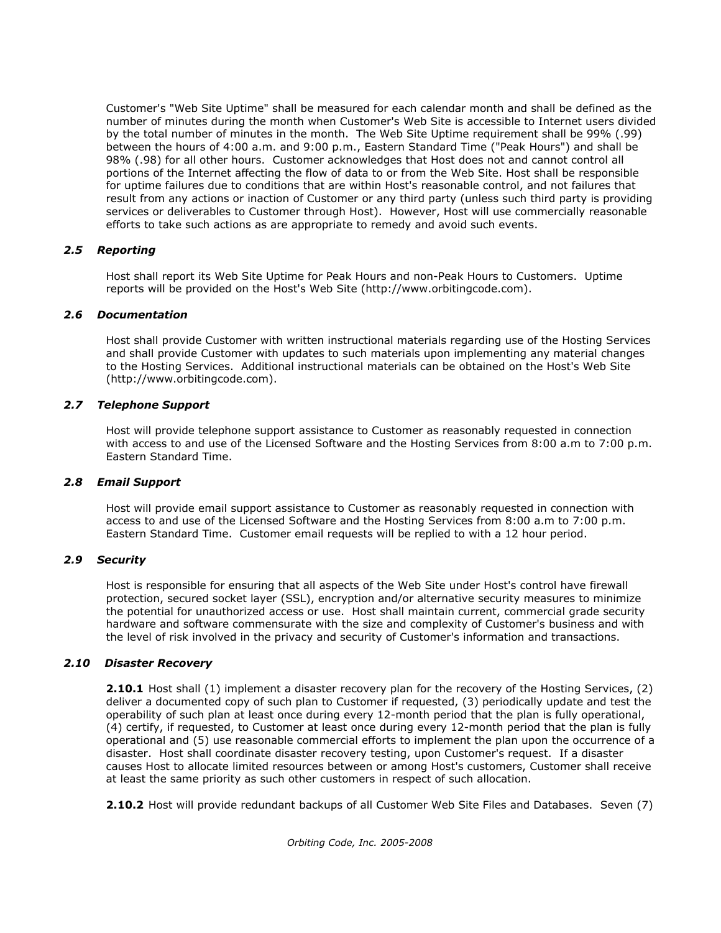Customer's "Web Site Uptime" shall be measured for each calendar month and shall be defined as the number of minutes during the month when Customer's Web Site is accessible to Internet users divided by the total number of minutes in the month. The Web Site Uptime requirement shall be 99% (.99) between the hours of 4:00 a.m. and 9:00 p.m., Eastern Standard Time ("Peak Hours") and shall be 98% (.98) for all other hours. Customer acknowledges that Host does not and cannot control all portions of the Internet affecting the flow of data to or from the Web Site. Host shall be responsible for uptime failures due to conditions that are within Host's reasonable control, and not failures that result from any actions or inaction of Customer or any third party (unless such third party is providing services or deliverables to Customer through Host). However, Host will use commercially reasonable efforts to take such actions as are appropriate to remedy and avoid such events.

## *2.5 Reporting*

Host shall report its Web Site Uptime for Peak Hours and non-Peak Hours to Customers. Uptime reports will be provided on the Host's Web Site (http://www.orbitingcode.com).

## *2.6 Documentation*

Host shall provide Customer with written instructional materials regarding use of the Hosting Services and shall provide Customer with updates to such materials upon implementing any material changes to the Hosting Services. Additional instructional materials can be obtained on the Host's Web Site (http://www.orbitingcode.com).

## *2.7 Telephone Support*

Host will provide telephone support assistance to Customer as reasonably requested in connection with access to and use of the Licensed Software and the Hosting Services from 8:00 a.m to 7:00 p.m. Eastern Standard Time.

#### *2.8 Email Support*

Host will provide email support assistance to Customer as reasonably requested in connection with access to and use of the Licensed Software and the Hosting Services from 8:00 a.m to 7:00 p.m. Eastern Standard Time. Customer email requests will be replied to with a 12 hour period.

#### *2.9 Security*

Host is responsible for ensuring that all aspects of the Web Site under Host's control have firewall protection, secured socket layer (SSL), encryption and/or alternative security measures to minimize the potential for unauthorized access or use. Host shall maintain current, commercial grade security hardware and software commensurate with the size and complexity of Customer's business and with the level of risk involved in the privacy and security of Customer's information and transactions.

#### *2.10 Disaster Recovery*

**2.10.1** Host shall (1) implement a disaster recovery plan for the recovery of the Hosting Services, (2) deliver a documented copy of such plan to Customer if requested, (3) periodically update and test the operability of such plan at least once during every 12-month period that the plan is fully operational, (4) certify, if requested, to Customer at least once during every 12-month period that the plan is fully operational and (5) use reasonable commercial efforts to implement the plan upon the occurrence of a disaster. Host shall coordinate disaster recovery testing, upon Customer's request. If a disaster causes Host to allocate limited resources between or among Host's customers, Customer shall receive at least the same priority as such other customers in respect of such allocation.

**2.10.2** Host will provide redundant backups of all Customer Web Site Files and Databases. Seven (7)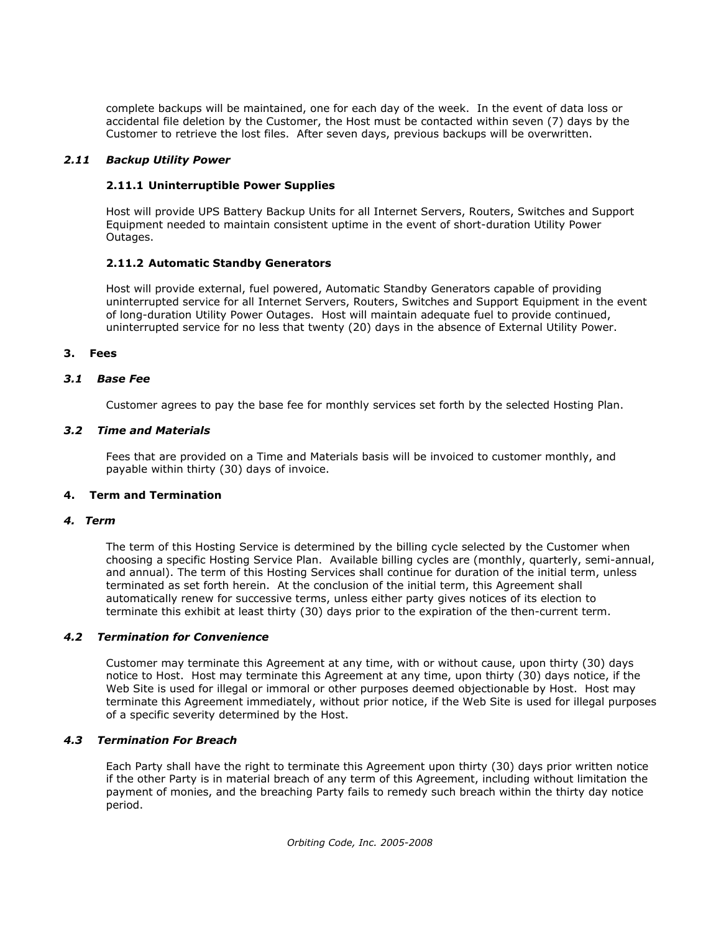complete backups will be maintained, one for each day of the week. In the event of data loss or accidental file deletion by the Customer, the Host must be contacted within seven (7) days by the Customer to retrieve the lost files. After seven days, previous backups will be overwritten.

#### *2.11 Backup Utility Power*

## **2.11.1 Uninterruptible Power Supplies**

Host will provide UPS Battery Backup Units for all Internet Servers, Routers, Switches and Support Equipment needed to maintain consistent uptime in the event of short-duration Utility Power Outages.

## **2.11.2 Automatic Standby Generators**

Host will provide external, fuel powered, Automatic Standby Generators capable of providing uninterrupted service for all Internet Servers, Routers, Switches and Support Equipment in the event of long-duration Utility Power Outages. Host will maintain adequate fuel to provide continued, uninterrupted service for no less that twenty (20) days in the absence of External Utility Power.

## **3. Fees**

## *3.1 Base Fee*

Customer agrees to pay the base fee for monthly services set forth by the selected Hosting Plan.

## *3.2 Time and Materials*

Fees that are provided on a Time and Materials basis will be invoiced to customer monthly, and payable within thirty (30) days of invoice.

#### **4. Term and Termination**

#### *4. Term*

The term of this Hosting Service is determined by the billing cycle selected by the Customer when choosing a specific Hosting Service Plan. Available billing cycles are (monthly, quarterly, semi-annual, and annual). The term of this Hosting Services shall continue for duration of the initial term, unless terminated as set forth herein. At the conclusion of the initial term, this Agreement shall automatically renew for successive terms, unless either party gives notices of its election to terminate this exhibit at least thirty (30) days prior to the expiration of the then-current term.

#### *4.2 Termination for Convenience*

Customer may terminate this Agreement at any time, with or without cause, upon thirty (30) days notice to Host. Host may terminate this Agreement at any time, upon thirty (30) days notice, if the Web Site is used for illegal or immoral or other purposes deemed objectionable by Host. Host may terminate this Agreement immediately, without prior notice, if the Web Site is used for illegal purposes of a specific severity determined by the Host.

#### *4.3 Termination For Breach*

Each Party shall have the right to terminate this Agreement upon thirty (30) days prior written notice if the other Party is in material breach of any term of this Agreement, including without limitation the payment of monies, and the breaching Party fails to remedy such breach within the thirty day notice period.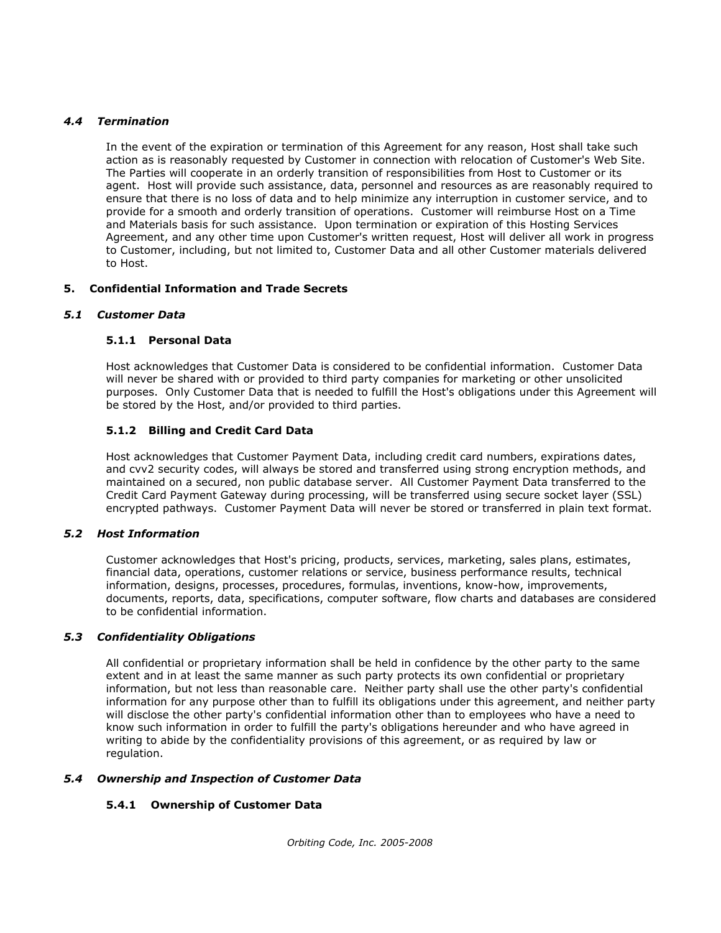#### *4.4 Termination*

In the event of the expiration or termination of this Agreement for any reason, Host shall take such action as is reasonably requested by Customer in connection with relocation of Customer's Web Site. The Parties will cooperate in an orderly transition of responsibilities from Host to Customer or its agent. Host will provide such assistance, data, personnel and resources as are reasonably required to ensure that there is no loss of data and to help minimize any interruption in customer service, and to provide for a smooth and orderly transition of operations. Customer will reimburse Host on a Time and Materials basis for such assistance. Upon termination or expiration of this Hosting Services Agreement, and any other time upon Customer's written request, Host will deliver all work in progress to Customer, including, but not limited to, Customer Data and all other Customer materials delivered to Host.

# **5. Confidential Information and Trade Secrets**

## *5.1 Customer Data*

## **5.1.1 Personal Data**

Host acknowledges that Customer Data is considered to be confidential information. Customer Data will never be shared with or provided to third party companies for marketing or other unsolicited purposes. Only Customer Data that is needed to fulfill the Host's obligations under this Agreement will be stored by the Host, and/or provided to third parties.

# **5.1.2 Billing and Credit Card Data**

Host acknowledges that Customer Payment Data, including credit card numbers, expirations dates, and cvv2 security codes, will always be stored and transferred using strong encryption methods, and maintained on a secured, non public database server. All Customer Payment Data transferred to the Credit Card Payment Gateway during processing, will be transferred using secure socket layer (SSL) encrypted pathways. Customer Payment Data will never be stored or transferred in plain text format.

#### *5.2 Host Information*

Customer acknowledges that Host's pricing, products, services, marketing, sales plans, estimates, financial data, operations, customer relations or service, business performance results, technical information, designs, processes, procedures, formulas, inventions, know-how, improvements, documents, reports, data, specifications, computer software, flow charts and databases are considered to be confidential information.

#### *5.3 Confidentiality Obligations*

All confidential or proprietary information shall be held in confidence by the other party to the same extent and in at least the same manner as such party protects its own confidential or proprietary information, but not less than reasonable care. Neither party shall use the other party's confidential information for any purpose other than to fulfill its obligations under this agreement, and neither party will disclose the other party's confidential information other than to employees who have a need to know such information in order to fulfill the party's obligations hereunder and who have agreed in writing to abide by the confidentiality provisions of this agreement, or as required by law or regulation.

#### *5.4 Ownership and Inspection of Customer Data*

# **5.4.1 Ownership of Customer Data**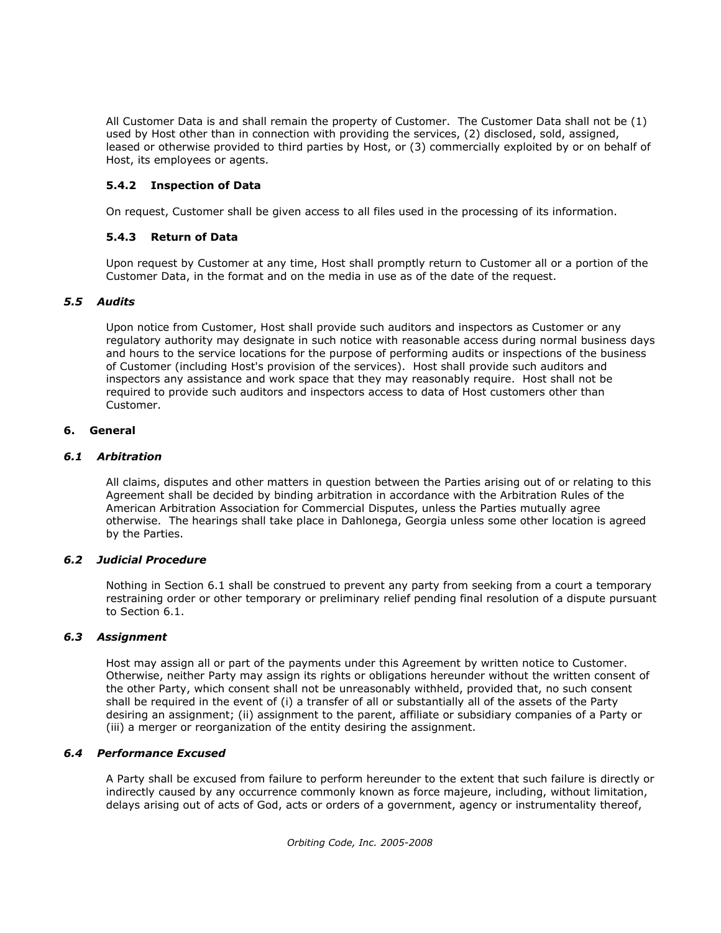All Customer Data is and shall remain the property of Customer. The Customer Data shall not be (1) used by Host other than in connection with providing the services, (2) disclosed, sold, assigned, leased or otherwise provided to third parties by Host, or (3) commercially exploited by or on behalf of Host, its employees or agents.

# **5.4.2 Inspection of Data**

On request, Customer shall be given access to all files used in the processing of its information.

# **5.4.3 Return of Data**

Upon request by Customer at any time, Host shall promptly return to Customer all or a portion of the Customer Data, in the format and on the media in use as of the date of the request.

# *5.5 Audits*

Upon notice from Customer, Host shall provide such auditors and inspectors as Customer or any regulatory authority may designate in such notice with reasonable access during normal business days and hours to the service locations for the purpose of performing audits or inspections of the business of Customer (including Host's provision of the services). Host shall provide such auditors and inspectors any assistance and work space that they may reasonably require. Host shall not be required to provide such auditors and inspectors access to data of Host customers other than Customer.

## **6. General**

## *6.1 Arbitration*

All claims, disputes and other matters in question between the Parties arising out of or relating to this Agreement shall be decided by binding arbitration in accordance with the Arbitration Rules of the American Arbitration Association for Commercial Disputes, unless the Parties mutually agree otherwise. The hearings shall take place in Dahlonega, Georgia unless some other location is agreed by the Parties.

#### *6.2 Judicial Procedure*

Nothing in Section 6.1 shall be construed to prevent any party from seeking from a court a temporary restraining order or other temporary or preliminary relief pending final resolution of a dispute pursuant to Section 6.1.

#### *6.3 Assignment*

Host may assign all or part of the payments under this Agreement by written notice to Customer. Otherwise, neither Party may assign its rights or obligations hereunder without the written consent of the other Party, which consent shall not be unreasonably withheld, provided that, no such consent shall be required in the event of (i) a transfer of all or substantially all of the assets of the Party desiring an assignment; (ii) assignment to the parent, affiliate or subsidiary companies of a Party or (iii) a merger or reorganization of the entity desiring the assignment.

#### *6.4 Performance Excused*

A Party shall be excused from failure to perform hereunder to the extent that such failure is directly or indirectly caused by any occurrence commonly known as force majeure, including, without limitation, delays arising out of acts of God, acts or orders of a government, agency or instrumentality thereof,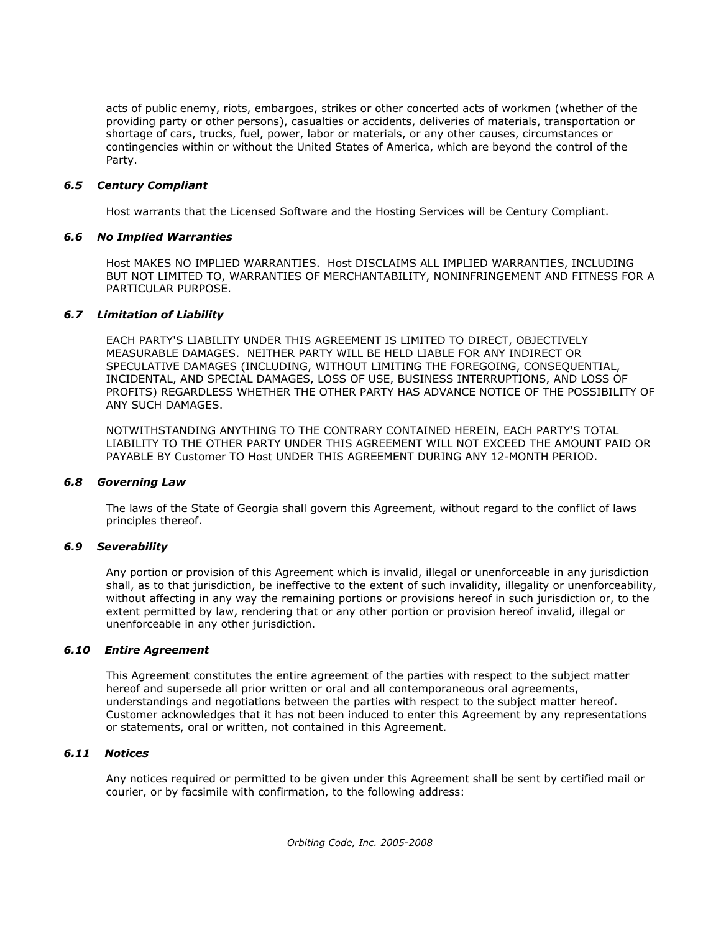acts of public enemy, riots, embargoes, strikes or other concerted acts of workmen (whether of the providing party or other persons), casualties or accidents, deliveries of materials, transportation or shortage of cars, trucks, fuel, power, labor or materials, or any other causes, circumstances or contingencies within or without the United States of America, which are beyond the control of the Party.

#### *6.5 Century Compliant*

Host warrants that the Licensed Software and the Hosting Services will be Century Compliant.

#### *6.6 No Implied Warranties*

Host MAKES NO IMPLIED WARRANTIES. Host DISCLAIMS ALL IMPLIED WARRANTIES, INCLUDING BUT NOT LIMITED TO, WARRANTIES OF MERCHANTABILITY, NONINFRINGEMENT AND FITNESS FOR A PARTICULAR PURPOSE.

## *6.7 Limitation of Liability*

EACH PARTY'S LIABILITY UNDER THIS AGREEMENT IS LIMITED TO DIRECT, OBJECTIVELY MEASURABLE DAMAGES. NEITHER PARTY WILL BE HELD LIABLE FOR ANY INDIRECT OR SPECULATIVE DAMAGES (INCLUDING, WITHOUT LIMITING THE FOREGOING, CONSEQUENTIAL, INCIDENTAL, AND SPECIAL DAMAGES, LOSS OF USE, BUSINESS INTERRUPTIONS, AND LOSS OF PROFITS) REGARDLESS WHETHER THE OTHER PARTY HAS ADVANCE NOTICE OF THE POSSIBILITY OF ANY SUCH DAMAGES.

NOTWITHSTANDING ANYTHING TO THE CONTRARY CONTAINED HEREIN, EACH PARTY'S TOTAL LIABILITY TO THE OTHER PARTY UNDER THIS AGREEMENT WILL NOT EXCEED THE AMOUNT PAID OR PAYABLE BY Customer TO Host UNDER THIS AGREEMENT DURING ANY 12-MONTH PERIOD.

#### *6.8 Governing Law*

The laws of the State of Georgia shall govern this Agreement, without regard to the conflict of laws principles thereof.

#### *6.9 Severability*

Any portion or provision of this Agreement which is invalid, illegal or unenforceable in any jurisdiction shall, as to that jurisdiction, be ineffective to the extent of such invalidity, illegality or unenforceability, without affecting in any way the remaining portions or provisions hereof in such jurisdiction or, to the extent permitted by law, rendering that or any other portion or provision hereof invalid, illegal or unenforceable in any other jurisdiction.

#### *6.10 Entire Agreement*

This Agreement constitutes the entire agreement of the parties with respect to the subject matter hereof and supersede all prior written or oral and all contemporaneous oral agreements, understandings and negotiations between the parties with respect to the subject matter hereof. Customer acknowledges that it has not been induced to enter this Agreement by any representations or statements, oral or written, not contained in this Agreement.

#### *6.11 Notices*

Any notices required or permitted to be given under this Agreement shall be sent by certified mail or courier, or by facsimile with confirmation, to the following address: